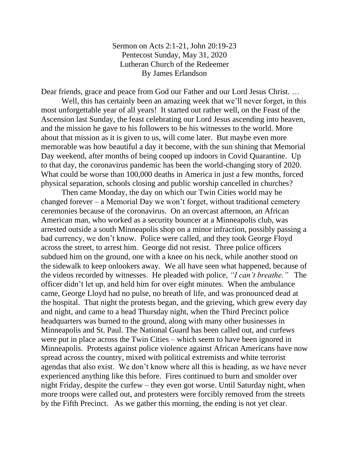Sermon on Acts 2:1-21, John 20:19-23 Pentecost Sunday, May 31, 2020 Lutheran Church of the Redeemer By James Erlandson

Dear friends, grace and peace from God our Father and our Lord Jesus Christ. …

Well, this has certainly been an amazing week that we'll never forget, in this most unforgettable year of all years! It started out rather well, on the Feast of the Ascension last Sunday, the feast celebrating our Lord Jesus ascending into heaven, and the mission he gave to his followers to be his witnesses to the world. More about that mission as it is given to us, will come later. But maybe even more memorable was how beautiful a day it become, with the sun shining that Memorial Day weekend, after months of being cooped up indoors in Covid Quarantine. Up to that day, the coronavirus pandemic has been the world-changing story of 2020. What could be worse than 100,000 deaths in America in just a few months, forced physical separation, schools closing and public worship cancelled in churches?

Then came Monday, the day on which our Twin Cities world may be changed forever – a Memorial Day we won't forget, without traditional cemetery ceremonies because of the coronavirus. On an overcast afternoon, an African American man, who worked as a security bouncer at a Minneapolis club, was arrested outside a south Minneapolis shop on a minor infraction, possibly passing a bad currency, we don't know. Police were called, and they took George Floyd across the street, to arrest him. George did not resist. Three police officers subdued him on the ground, one with a knee on his neck, while another stood on the sidewalk to keep onlookers away. We all have seen what happened, because of the videos recorded by witnesses. He pleaded with police, *"I can't breathe."* The officer didn't let up, and held him for over eight minutes. When the ambulance came, George Lloyd had no pulse, no breath of life, and was pronounced dead at the hospital. That night the protests began, and the grieving, which grew every day and night, and came to a head Thursday night, when the Third Precinct police headquarters was burned to the ground, along with many other businesses in Minneapolis and St. Paul. The National Guard has been called out, and curfews were put in place across the Twin Cities – which seem to have been ignored in Minneapolis. Protests against police violence against African Americans have now spread across the country, mixed with political extremists and white terrorist agendas that also exist. We don't know where all this is heading, as we have never experienced anything like this before. Fires continued to burn and smolder over night Friday, despite the curfew – they even got worse. Until Saturday night, when more troops were called out, and protesters were forcibly removed from the streets by the Fifth Precinct. As we gather this morning, the ending is not yet clear.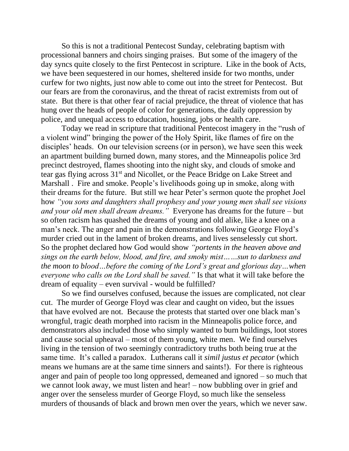So this is not a traditional Pentecost Sunday, celebrating baptism with processional banners and choirs singing praises. But some of the imagery of the day syncs quite closely to the first Pentecost in scripture. Like in the book of Acts, we have been sequestered in our homes, sheltered inside for two months, under curfew for two nights, just now able to come out into the street for Pentecost. But our fears are from the coronavirus, and the threat of racist extremists from out of state. But there is that other fear of racial prejudice, the threat of violence that has hung over the heads of people of color for generations, the daily oppression by police, and unequal access to education, housing, jobs or health care.

Today we read in scripture that traditional Pentecost imagery in the "rush of a violent wind" bringing the power of the Holy Spirit, like flames of fire on the disciples' heads. On our television screens (or in person), we have seen this week an apartment building burned down, many stores, and the Minneapolis police 3rd precinct destroyed, flames shooting into the night sky, and clouds of smoke and tear gas flying across 31st and Nicollet, or the Peace Bridge on Lake Street and Marshall . Fire and smoke. People's livelihoods going up in smoke, along with their dreams for the future. But still we hear Peter's sermon quote the prophet Joel how *"you sons and daughters shall prophesy and your young men shall see visions and your old men shall dream dreams."* Everyone has dreams for the future – but so often racism has quashed the dreams of young and old alike, like a knee on a man's neck. The anger and pain in the demonstrations following George Floyd's murder cried out in the lament of broken dreams, and lives senselessly cut short. So the prophet declared how God would show *"portents in the heaven above and sings on the earth below, blood, and fire, and smoky mist……sun to darkness and the moon to blood…before the coming of the Lord's great and glorious day…when everyone who calls on the Lord shall be saved."* Is that what it will take before the dream of equality – even survival - would be fulfilled?

So we find ourselves confused, because the issues are complicated, not clear cut. The murder of George Floyd was clear and caught on video, but the issues that have evolved are not. Because the protests that started over one black man's wrongful, tragic death morphed into racism in the Minneapolis police force, and demonstrators also included those who simply wanted to burn buildings, loot stores and cause social upheaval – most of them young, white men. We find ourselves living in the tension of two seemingly contradictory truths both being true at the same time. It's called a paradox. Lutherans call it *simil justus et pecator* (which means we humans are at the same time sinners and saints!). For there is righteous anger and pain of people too long oppressed, demeaned and ignored – so much that we cannot look away, we must listen and hear! – now bubbling over in grief and anger over the senseless murder of George Floyd, so much like the senseless murders of thousands of black and brown men over the years, which we never saw.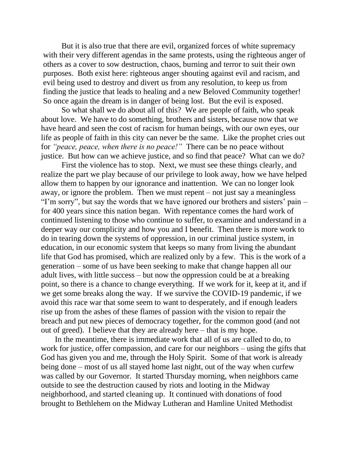But it is also true that there are evil, organized forces of white supremacy with their very different agendas in the same protests, using the righteous anger of others as a cover to sow destruction, chaos, burning and terror to suit their own purposes. Both exist here: righteous anger shouting against evil and racism, and evil being used to destroy and divert us from any resolution, to keep us from finding the justice that leads to healing and a new Beloved Community together! So once again the dream is in danger of being lost. But the evil is exposed.

So what shall we do about all of this? We are people of faith, who speak about love. We have to do something, brothers and sisters, because now that we have heard and seen the cost of racism for human beings, with our own eyes, our life as people of faith in this city can never be the same. Like the prophet cries out for *"peace, peace, when there is no peace!"* There can be no peace without justice. But how can we achieve justice, and so find that peace? What can we do?

First the violence has to stop. Next, we must see these things clearly, and realize the part we play because of our privilege to look away, how we have helped allow them to happen by our ignorance and inattention. We can no longer look away, or ignore the problem. Then we must repent – not just say a meaningless "I'm sorry", but say the words that we have ignored our brothers and sisters' pain – for 400 years since this nation began. With repentance comes the hard work of continued listening to those who continue to suffer, to examine and understand in a deeper way our complicity and how you and I benefit. Then there is more work to do in tearing down the systems of oppression, in our criminal justice system, in education, in our economic system that keeps so many from living the abundant life that God has promised, which are realized only by a few. This is the work of a generation – some of us have been seeking to make that change happen all our adult lives, with little success – but now the oppression could be at a breaking point, so there is a chance to change everything. If we work for it, keep at it, and if we get some breaks along the way. If we survive the COVID-19 pandemic, if we avoid this race war that some seem to want to desperately, and if enough leaders rise up from the ashes of these flames of passion with the vision to repair the breach and put new pieces of democracy together, for the common good (and not out of greed). I believe that they are already here – that is my hope.

 In the meantime, there is immediate work that all of us are called to do, to work for justice, offer compassion, and care for our neighbors – using the gifts that God has given you and me, through the Holy Spirit. Some of that work is already being done – most of us all stayed home last night, out of the way when curfew was called by our Governor. It started Thursday morning, when neighbors came outside to see the destruction caused by riots and looting in the Midway neighborhood, and started cleaning up. It continued with donations of food brought to Bethlehem on the Midway Lutheran and Hamline United Methodist